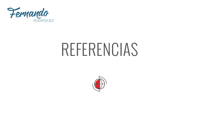

## REFERENCIAS

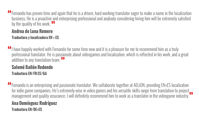Fernando has proven time and again that he is a driven, hard-working translator eager to make a name in the localization **"** business. He is a proactive and enterprising professional and anybody considering hiring him will be extremely satisfied by the quality of his work. <sup>77</sup><br>Andrea de Luna Romero

#### **Andrea de Luna Romero**

**Traductora y localizadora EN > ES**

I have happily worked with Fernando for some time now and it is a pleasure for me to recommend him as a truly **"** professional translator. He is passionate about videogames and localization, which is reflected in his work, and a great addition to any translation team. <sup>77</sup><br>Salomé Railón Redondo

#### **Salomé Bailón Redondo Traductora EN/FR-ES/GA**

Fernando is an enterprising and passionate translator. We collaborate together at AELiON, providing EN>ES localization **"** for indie game companies. He's extremely wise in video games and his versatile skills range from translation to project management and quality assurance. I will definitely recommend him to work as a translator in the videogame industry. **"**

### **Ana Domínguez Rodríguez**

**Traductora EN/DE>ES**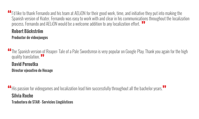I'd like to thank Fernando and his team at AELiON for their good work, time, and initiative they put into making the **"** Spanish version of Krater. Fernando was easy to work with and clear in his communications throughout the localization process. Fernando and AELiON would be a welcome addition to any localization effort. <sup>99</sup><br>Rohert Räckström

#### **Robert Bäckström**

**Productor de videojuegos**

The Spanish version of Reaper: Tale of a Pale Swordsmsn is very popular on Google Play. Thank you again for the high **"** quality translation. <sup>99</sup><br>David Peroutka

**David Peroutka Director ejecutivo de Hexage**

His passion for videogames and localization lead him successfully throughout all the bachelor years. **" "Silvia Roche Traductora de STAR - Servicios Lingüísticos**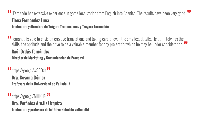#### "Fernando has extensive experience in game localization from English into Spanish. The results have been very good. **" " Elena Fernández Luna Traductora y directora de Trágora Traducciones y Trágora Formación**

Fernando is able to envision creative translations and taking care of even the smallest details. He definitely has the **"** skills, the aptitude and the drive to be a valuable member for any project for which he may be under consideration. **" Raúl Ordás Fernández Director de Marketing y Comunicación de Proconsi**

<https://goo.gl/w85Ozh> **" " Dra. Susana Gómez Profesora de la Universidad de Valladolid**

<https://goo.gl/M1HC14> **" "Dra. Verónica Arnáiz Uzquiza Traductora y profesora de la Universidad de Valladolid**